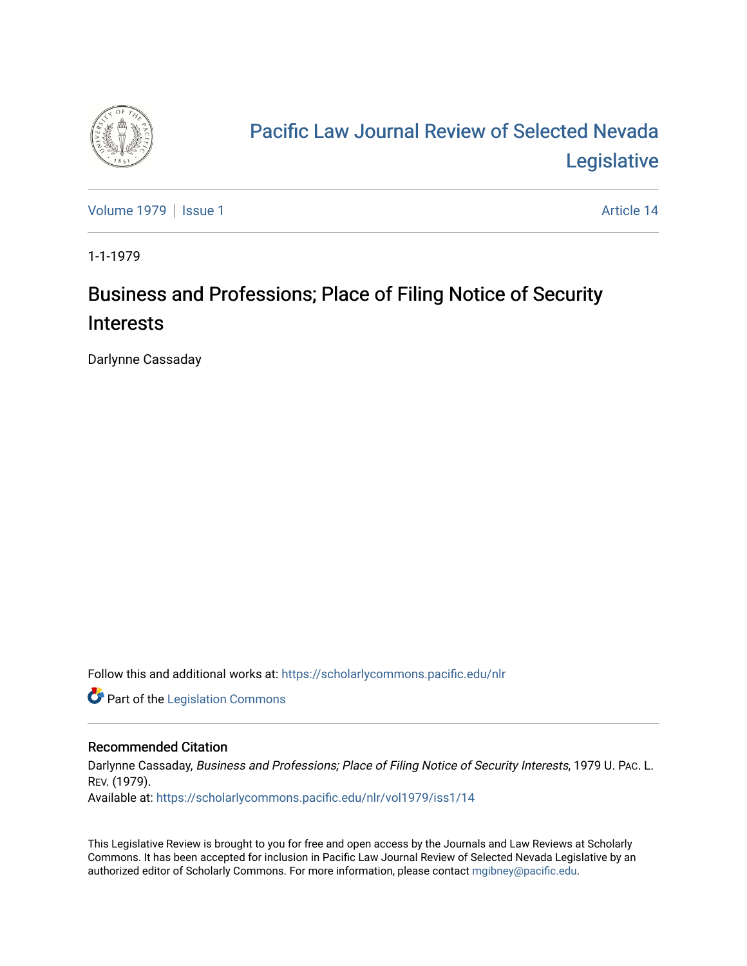

# [Pacific Law Journal Review of Selected Nevada](https://scholarlycommons.pacific.edu/nlr)  [Legislative](https://scholarlycommons.pacific.edu/nlr)

[Volume 1979](https://scholarlycommons.pacific.edu/nlr/vol1979) | [Issue 1](https://scholarlycommons.pacific.edu/nlr/vol1979/iss1) Article 14

1-1-1979

## Business and Professions; Place of Filing Notice of Security Interests

Darlynne Cassaday

Follow this and additional works at: [https://scholarlycommons.pacific.edu/nlr](https://scholarlycommons.pacific.edu/nlr?utm_source=scholarlycommons.pacific.edu%2Fnlr%2Fvol1979%2Fiss1%2F14&utm_medium=PDF&utm_campaign=PDFCoverPages) 

**Part of the [Legislation Commons](http://network.bepress.com/hgg/discipline/859?utm_source=scholarlycommons.pacific.edu%2Fnlr%2Fvol1979%2Fiss1%2F14&utm_medium=PDF&utm_campaign=PDFCoverPages)** 

## Recommended Citation

Darlynne Cassaday, Business and Professions; Place of Filing Notice of Security Interests, 1979 U. PAc. L. REV. (1979). Available at: [https://scholarlycommons.pacific.edu/nlr/vol1979/iss1/14](https://scholarlycommons.pacific.edu/nlr/vol1979/iss1/14?utm_source=scholarlycommons.pacific.edu%2Fnlr%2Fvol1979%2Fiss1%2F14&utm_medium=PDF&utm_campaign=PDFCoverPages)

This Legislative Review is brought to you for free and open access by the Journals and Law Reviews at Scholarly Commons. It has been accepted for inclusion in Pacific Law Journal Review of Selected Nevada Legislative by an authorized editor of Scholarly Commons. For more information, please contact [mgibney@pacific.edu](mailto:mgibney@pacific.edu).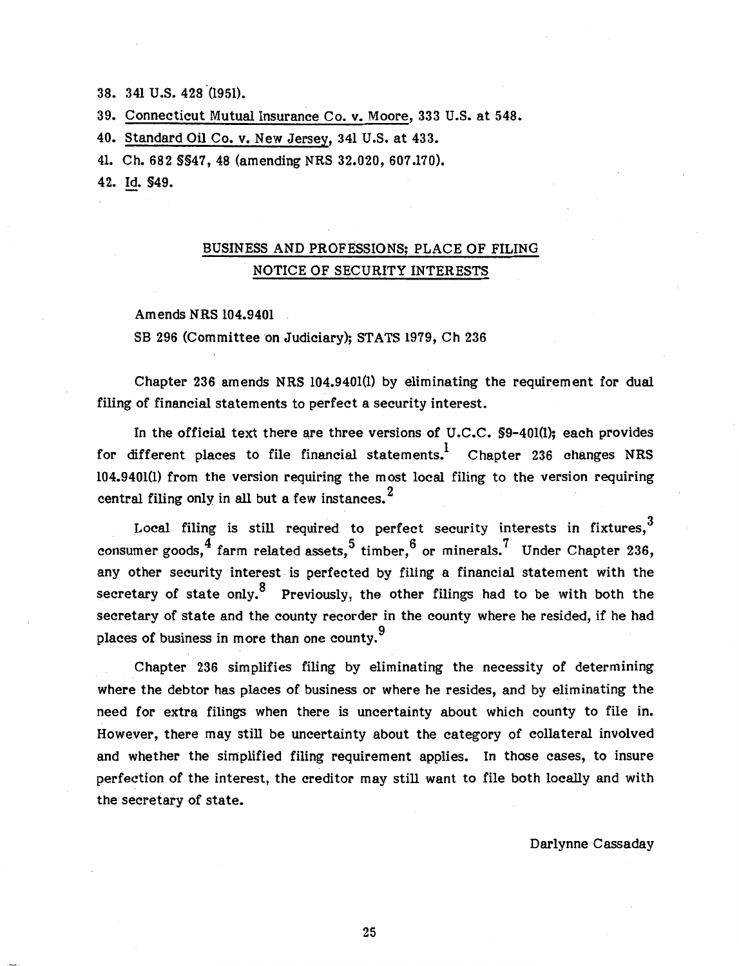38. 341 u.s. 428 '(1951).

39. Connecticut Mutual Insurance Co. v. Moore, 333 U.S. at 548.

40. Standard Oil Co. v. New Jersey, 341 U.S. at 433.

41. Ch. 682 §§47, 48 (amending NRS 32.020, 607 .170).

42. Id. §49.

## BUSINESS AND PROFESSIONS; PLACE OF FILING NOTICE OF SECURITY INTERESTS

Amends NRS 104.9401

SB 296 (Committee on Judiciary); STATS 1979, Ch 236

Chapter 236 amends NRS 104.9401(1) by eliminating the requirement for dual filing of financial statements to perfect a security interest.

In the official text there are three versions of U.C.C. \$9-401(1): each provides for different places to file financial statements.<sup>1</sup> Chapter 236 changes NRS 104.9401(1) from the version requiring the most local filing to the version requiring central filing only in all but a few instances.  $<sup>2</sup>$ </sup>

Local filing is still required to perfect security interests in fixtures.<sup>3</sup> consumer goods,  $^{4}$  farm related assets,  $^{5}$  timber,  $^{6}$  or minerals.  $^{7}$  Under Chapter 236, any other security interest is perfected by filing a financial statement with the secretary of state only.<sup>8</sup> Previously, the other filings had to be with both the secretary of state and the county recorder in the county where he resided, if he had places of business in more than one county.<sup>9</sup>

Chapter 236 simplifies filing by eliminating the necessity of determining where the debtor has places of business or where he resides, and by eliminating the need for extra filings when there is uncertainty about which county to file in. However, there may still be uncertainty about the category of collateral involved and whether the simplified filing requirement applies. In those cases, to insure perfection of the interest, the creditor may still want to file both locally and with the secretary of state.

Darlynne Cassaday